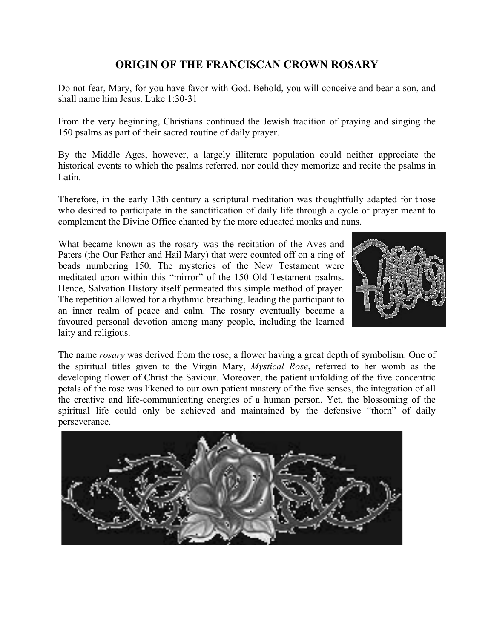## **ORIGIN OF THE FRANCISCAN CROWN ROSARY**

Do not fear, Mary, for you have favor with God. Behold, you will conceive and bear a son, and shall name him Jesus. Luke 1:30-31

From the very beginning, Christians continued the Jewish tradition of praying and singing the 150 psalms as part of their sacred routine of daily prayer.

By the Middle Ages, however, a largely illiterate population could neither appreciate the historical events to which the psalms referred, nor could they memorize and recite the psalms in Latin.

Therefore, in the early 13th century a scriptural meditation was thoughtfully adapted for those who desired to participate in the sanctification of daily life through a cycle of prayer meant to complement the Divine Office chanted by the more educated monks and nuns.

What became known as the rosary was the recitation of the Aves and Paters (the Our Father and Hail Mary) that were counted off on a ring of beads numbering 150. The mysteries of the New Testament were meditated upon within this "mirror" of the 150 Old Testament psalms. Hence, Salvation History itself permeated this simple method of prayer. The repetition allowed for a rhythmic breathing, leading the participant to an inner realm of peace and calm. The rosary eventually became a favoured personal devotion among many people, including the learned laity and religious.



The name *rosary* was derived from the rose, a flower having a great depth of symbolism. One of the spiritual titles given to the Virgin Mary, *Mystical Rose*, referred to her womb as the developing flower of Christ the Saviour. Moreover, the patient unfolding of the five concentric petals of the rose was likened to our own patient mastery of the five senses, the integration of all the creative and life-communicating energies of a human person. Yet, the blossoming of the spiritual life could only be achieved and maintained by the defensive "thorn" of daily perseverance.